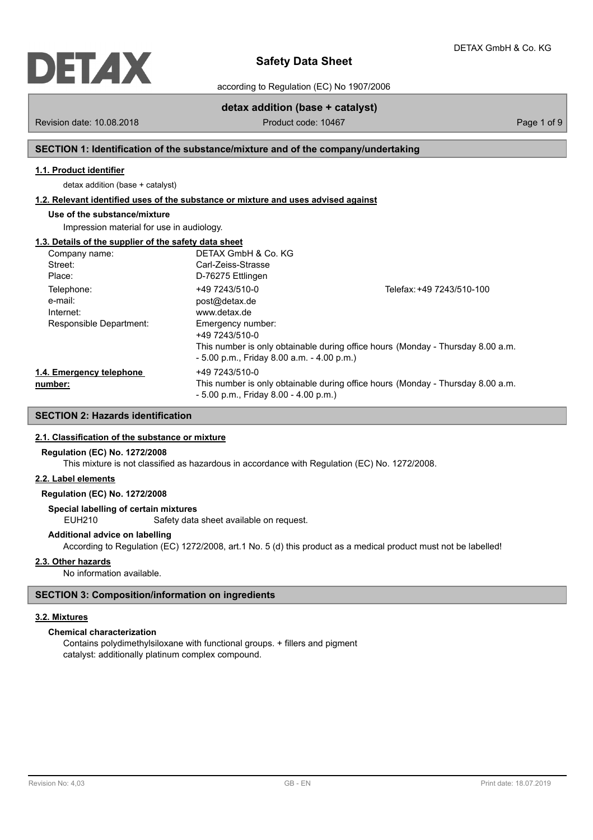

according to Regulation (EC) No 1907/2006

# **detax addition (base + catalyst)**

Revision date: 10.08.2018 **Product code: 10467** Product code: 10467 **Page 1 of 9** Page 1 of 9

## **SECTION 1: Identification of the substance/mixture and of the company/undertaking**

## **1.1. Product identifier**

detax addition (base + catalyst)

### **1.2. Relevant identified uses of the substance or mixture and uses advised against**

# **Use of the substance/mixture**

Impression material for use in audiology.

## **1.3. Details of the supplier of the safety data sheet**

| Company name:            | DETAX GmbH & Co. KG                          |                                                                                 |
|--------------------------|----------------------------------------------|---------------------------------------------------------------------------------|
| Street:                  | Carl-Zeiss-Strasse                           |                                                                                 |
| Place:                   | D-76275 Ettlingen                            |                                                                                 |
| Telephone:               | +49 7243/510-0                               | Telefax: +49 7243/510-100                                                       |
| e-mail:                  | post@detax.de                                |                                                                                 |
| Internet:                | www.detax.de                                 |                                                                                 |
| Responsible Department:  | Emergency number:                            |                                                                                 |
|                          | +49 7243/510-0                               |                                                                                 |
|                          |                                              | This number is only obtainable during office hours (Monday - Thursday 8.00 a.m. |
|                          | $-5.00$ p.m., Friday 8.00 a.m. $-4.00$ p.m.) |                                                                                 |
| 1.4. Emergency telephone | +49 7243/510-0                               |                                                                                 |
| number:                  |                                              | This number is only obtainable during office hours (Monday - Thursday 8.00 a.m. |
|                          | $-5.00$ p.m., Friday 8.00 $-4.00$ p.m.)      |                                                                                 |

# **SECTION 2: Hazards identification**

## **2.1. Classification of the substance or mixture**

### **Regulation (EC) No. 1272/2008**

This mixture is not classified as hazardous in accordance with Regulation (EC) No. 1272/2008.

## **2.2. Label elements**

## **Regulation (EC) No. 1272/2008**

**Special labelling of certain mixtures**

EUH210 Safety data sheet available on request.

### **Additional advice on labelling**

According to Regulation (EC) 1272/2008, art.1 No. 5 (d) this product as a medical product must not be labelled!

## **2.3. Other hazards**

No information available.

## **SECTION 3: Composition/information on ingredients**

### **3.2. Mixtures**

# **Chemical characterization**

Contains polydimethylsiloxane with functional groups. + fillers and pigment catalyst: additionally platinum complex compound.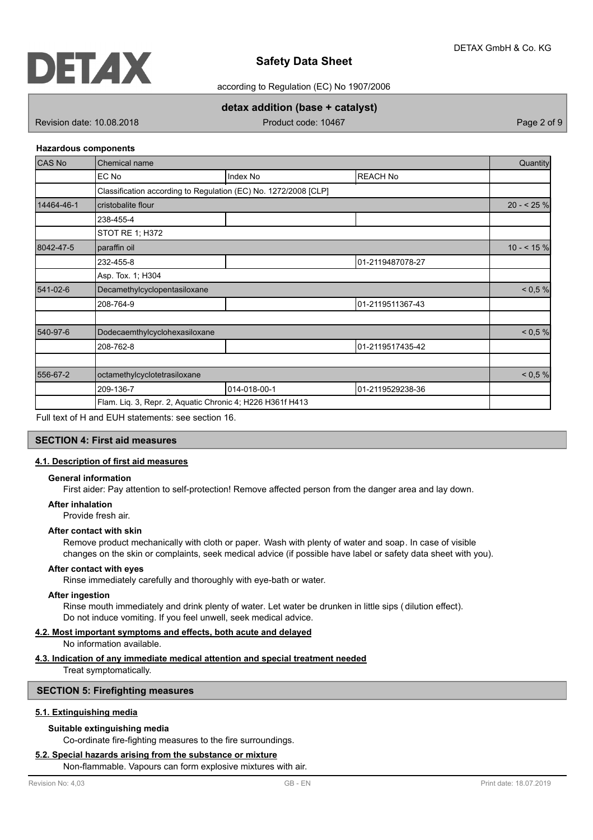

according to Regulation (EC) No 1907/2006

# **detax addition (base + catalyst)**

Revision date: 10.08.2018 **Product code: 10467** Product code: 10467

### **Hazardous components**

| <b>CAS No</b> | Chemical name                                                   |              |                  |            |  |
|---------------|-----------------------------------------------------------------|--------------|------------------|------------|--|
|               | EC No                                                           | Index No     | <b>REACH No</b>  |            |  |
|               | Classification according to Regulation (EC) No. 1272/2008 [CLP] |              |                  |            |  |
| 14464-46-1    | cristobalite flour                                              |              |                  | $20 - 25%$ |  |
|               | 238-455-4                                                       |              |                  |            |  |
|               | STOT RE 1; H372                                                 |              |                  |            |  |
| 8042-47-5     | paraffin oil                                                    |              |                  | $10 - 545$ |  |
|               | 232-455-8                                                       |              | 01-2119487078-27 |            |  |
|               | Asp. Tox. 1; H304                                               |              |                  |            |  |
| 541-02-6      | Decamethylcyclopentasiloxane                                    |              |                  | < 0.5 %    |  |
|               | 208-764-9                                                       |              | 01-2119511367-43 |            |  |
| 540-97-6      | Dodecaemthylcyclohexasiloxane                                   |              |                  | < 0.5 %    |  |
|               | 208-762-8                                                       |              | 01-2119517435-42 |            |  |
| 556-67-2      | octamethylcyclotetrasiloxane                                    |              |                  | < 0.5 %    |  |
|               | 209-136-7                                                       | 014-018-00-1 | 01-2119529238-36 |            |  |
|               | Flam. Liq. 3, Repr. 2, Aquatic Chronic 4; H226 H361f H413       |              |                  |            |  |

Full text of H and EUH statements: see section 16.

## **SECTION 4: First aid measures**

## **4.1. Description of first aid measures**

## **General information**

First aider: Pay attention to self-protection! Remove affected person from the danger area and lay down.

#### **After inhalation**

Provide fresh air.

### **After contact with skin**

Remove product mechanically with cloth or paper. Wash with plenty of water and soap. In case of visible changes on the skin or complaints, seek medical advice (if possible have label or safety data sheet with you).

#### **After contact with eyes**

Rinse immediately carefully and thoroughly with eye-bath or water.

#### **After ingestion**

Rinse mouth immediately and drink plenty of water. Let water be drunken in little sips ( dilution effect). Do not induce vomiting. If you feel unwell, seek medical advice.

## **4.2. Most important symptoms and effects, both acute and delayed**

No information available.

## **4.3. Indication of any immediate medical attention and special treatment needed**

Treat symptomatically.

### **SECTION 5: Firefighting measures**

### **5.1. Extinguishing media**

## **Suitable extinguishing media**

Co-ordinate fire-fighting measures to the fire surroundings.

### **5.2. Special hazards arising from the substance or mixture**

Non-flammable. Vapours can form explosive mixtures with air.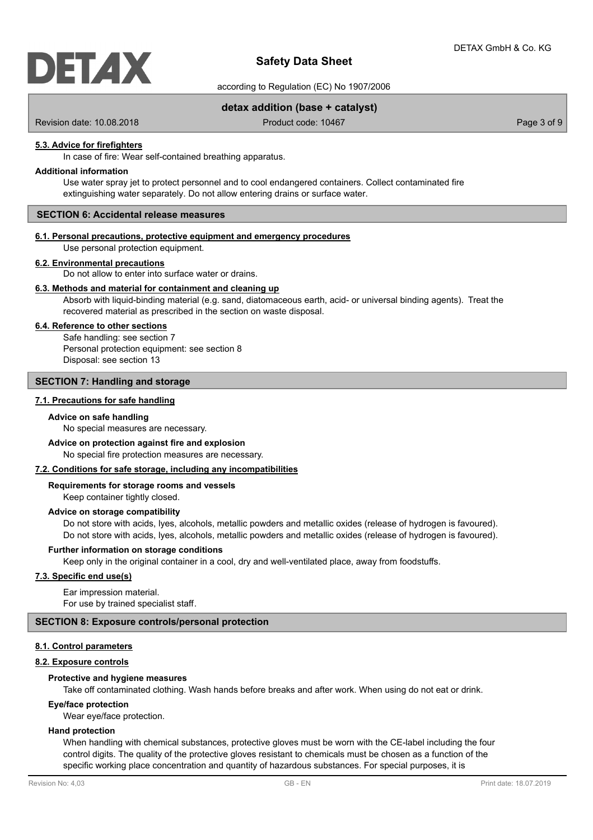

according to Regulation (EC) No 1907/2006

## **detax addition (base + catalyst)**

Revision date: 10.08.2018 **Product code: 10467** Product code: 10467 **Page 3 of 9** Page 3 of 9

### **5.3. Advice for firefighters**

In case of fire: Wear self-contained breathing apparatus.

### **Additional information**

Use water spray jet to protect personnel and to cool endangered containers. Collect contaminated fire extinguishing water separately. Do not allow entering drains or surface water.

### **SECTION 6: Accidental release measures**

# **6.1. Personal precautions, protective equipment and emergency procedures**

Use personal protection equipment.

#### **6.2. Environmental precautions**

Do not allow to enter into surface water or drains.

## **6.3. Methods and material for containment and cleaning up**

Absorb with liquid-binding material (e.g. sand, diatomaceous earth, acid- or universal binding agents). Treat the recovered material as prescribed in the section on waste disposal.

### **6.4. Reference to other sections**

Safe handling: see section 7 Personal protection equipment: see section 8 Disposal: see section 13

### **SECTION 7: Handling and storage**

### **7.1. Precautions for safe handling**

### **Advice on safe handling**

No special measures are necessary.

#### **Advice on protection against fire and explosion**

No special fire protection measures are necessary.

## **7.2. Conditions for safe storage, including any incompatibilities**

Keep container tightly closed. **Requirements for storage rooms and vessels**

#### **Advice on storage compatibility**

Do not store with acids, lyes, alcohols, metallic powders and metallic oxides (release of hydrogen is favoured). Do not store with acids, lyes, alcohols, metallic powders and metallic oxides (release of hydrogen is favoured).

### **Further information on storage conditions**

Keep only in the original container in a cool, dry and well-ventilated place, away from foodstuffs.

## **7.3. Specific end use(s)**

Ear impression material. For use by trained specialist staff.

### **SECTION 8: Exposure controls/personal protection**

### **8.1. Control parameters**

## **8.2. Exposure controls**

### **Protective and hygiene measures**

Take off contaminated clothing. Wash hands before breaks and after work. When using do not eat or drink.

#### **Eye/face protection**

Wear eye/face protection.

### **Hand protection**

When handling with chemical substances, protective gloves must be worn with the CE-label including the four control digits. The quality of the protective gloves resistant to chemicals must be chosen as a function of the specific working place concentration and quantity of hazardous substances. For special purposes, it is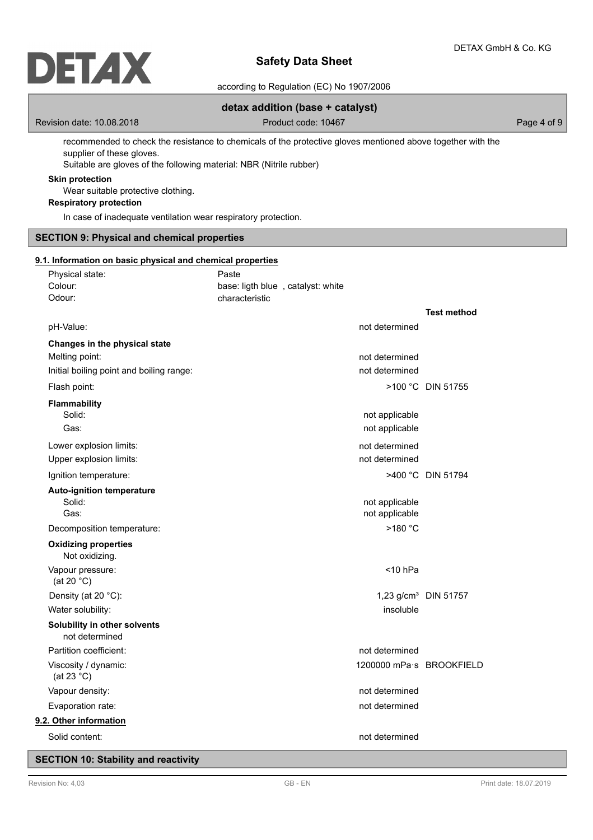

according to Regulation (EC) No 1907/2006

# **detax addition (base + catalyst)**

Revision date: 10.08.2018 **Product code: 10467** Product code: 10467 **Page 4 of 9** 

recommended to check the resistance to chemicals of the protective gloves mentioned above together with the supplier of these gloves.

Suitable are gloves of the following material: NBR (Nitrile rubber)

## **Skin protection**

Wear suitable protective clothing.

# **Respiratory protection**

In case of inadequate ventilation wear respiratory protection.

# **SECTION 9: Physical and chemical properties**

| 9.1. Information on basic physical and chemical properties |                                   |                          |                                  |
|------------------------------------------------------------|-----------------------------------|--------------------------|----------------------------------|
| Physical state:                                            | Paste                             |                          |                                  |
| Colour:                                                    | base: ligth blue, catalyst: white |                          |                                  |
| Odour:                                                     | characteristic                    |                          |                                  |
|                                                            |                                   |                          | <b>Test method</b>               |
| pH-Value:                                                  |                                   | not determined           |                                  |
| Changes in the physical state                              |                                   |                          |                                  |
| Melting point:                                             |                                   | not determined           |                                  |
| Initial boiling point and boiling range:                   |                                   | not determined           |                                  |
| Flash point:                                               |                                   |                          | >100 °C DIN 51755                |
| <b>Flammability</b>                                        |                                   |                          |                                  |
| Solid:                                                     |                                   | not applicable           |                                  |
| Gas:                                                       |                                   | not applicable           |                                  |
| Lower explosion limits:                                    |                                   | not determined           |                                  |
| Upper explosion limits:                                    |                                   | not determined           |                                  |
| Ignition temperature:                                      |                                   |                          | >400 °C DIN 51794                |
| Auto-ignition temperature                                  |                                   |                          |                                  |
| Solid:                                                     |                                   | not applicable           |                                  |
| Gas:                                                       |                                   | not applicable           |                                  |
| Decomposition temperature:                                 |                                   | >180 °C                  |                                  |
| <b>Oxidizing properties</b><br>Not oxidizing.              |                                   |                          |                                  |
| Vapour pressure:<br>(at 20 $°C$ )                          |                                   | $<$ 10 hPa               |                                  |
| Density (at 20 °C):                                        |                                   |                          | 1,23 g/cm <sup>3</sup> DIN 51757 |
| Water solubility:                                          |                                   | insoluble                |                                  |
| Solubility in other solvents<br>not determined             |                                   |                          |                                  |
| Partition coefficient:                                     |                                   | not determined           |                                  |
| Viscosity / dynamic:<br>(at 23 $^{\circ}$ C)               |                                   | 1200000 mPa·s BROOKFIELD |                                  |
| Vapour density:                                            |                                   | not determined           |                                  |
| Evaporation rate:                                          |                                   | not determined           |                                  |
| 9.2. Other information                                     |                                   |                          |                                  |
| Solid content:                                             |                                   | not determined           |                                  |

**SECTION 10: Stability and reactivity**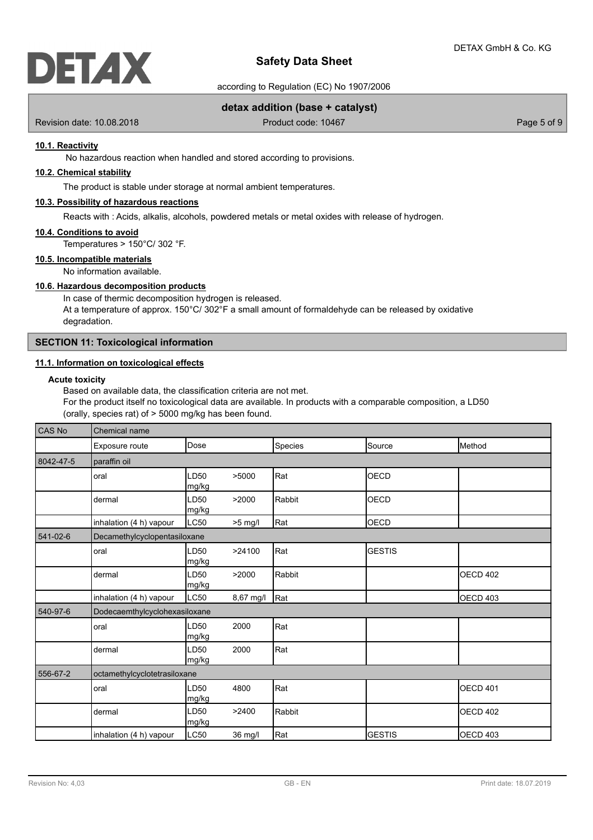

according to Regulation (EC) No 1907/2006

## **detax addition (base + catalyst)**

Revision date: 10.08.2018 **Product code: 10467** Product code: 10467 **Page 5 of 9** 

### **10.1. Reactivity**

No hazardous reaction when handled and stored according to provisions.

# **10.2. Chemical stability**

The product is stable under storage at normal ambient temperatures.

### **10.3. Possibility of hazardous reactions**

Reacts with : Acids, alkalis, alcohols, powdered metals or metal oxides with release of hydrogen.

#### **10.4. Conditions to avoid**

Temperatures > 150°C/ 302 °F.

## **10.5. Incompatible materials**

No information available.

# **10.6. Hazardous decomposition products**

In case of thermic decomposition hydrogen is released. At a temperature of approx.  $150^{\circ}$ C/ 302 $^{\circ}$ F a small amount of formaldehyde can be released by oxidative degradation.

### **SECTION 11: Toxicological information**

# **11.1. Information on toxicological effects**

## **Acute toxicity**

Based on available data, the classification criteria are not met. For the product itself no toxicological data are available. In products with a comparable composition, a LD50 (orally, species rat) of > 5000 mg/kg has been found.

| CAS No    | Chemical name                 |               |           |         |               |                 |  |
|-----------|-------------------------------|---------------|-----------|---------|---------------|-----------------|--|
|           | Exposure route                | Dose          |           | Species | Source        | Method          |  |
| 8042-47-5 | paraffin oil                  |               |           |         |               |                 |  |
|           | oral                          | LD50<br>mg/kg | >5000     | Rat     | OECD          |                 |  |
|           | dermal                        | LD50<br>mg/kg | >2000     | Rabbit  | OECD          |                 |  |
|           | inhalation (4 h) vapour       | LC50          | $>5$ mg/l | Rat     | <b>OECD</b>   |                 |  |
| 541-02-6  | Decamethylcyclopentasiloxane  |               |           |         |               |                 |  |
|           | oral                          | LD50<br>mg/kg | >24100    | Rat     | <b>GESTIS</b> |                 |  |
|           | dermal                        | LD50<br>mg/kg | >2000     | Rabbit  |               | OECD 402        |  |
|           | inhalation (4 h) vapour       | LC50          | 8,67 mg/l | Rat     |               | <b>OECD 403</b> |  |
| 540-97-6  | Dodecaemthylcyclohexasiloxane |               |           |         |               |                 |  |
|           | oral                          | LD50<br>mg/kg | 2000      | Rat     |               |                 |  |
|           | dermal                        | LD50<br>mg/kg | 2000      | Rat     |               |                 |  |
| 556-67-2  | octamethylcyclotetrasiloxane  |               |           |         |               |                 |  |
|           | oral                          | LD50<br>mg/kg | 4800      | Rat     |               | OECD 401        |  |
|           | dermal                        | LD50<br>mg/kg | >2400     | Rabbit  |               | <b>OECD 402</b> |  |
|           | inhalation (4 h) vapour       | LC50          | 36 mg/l   | Rat     | <b>GESTIS</b> | <b>OECD 403</b> |  |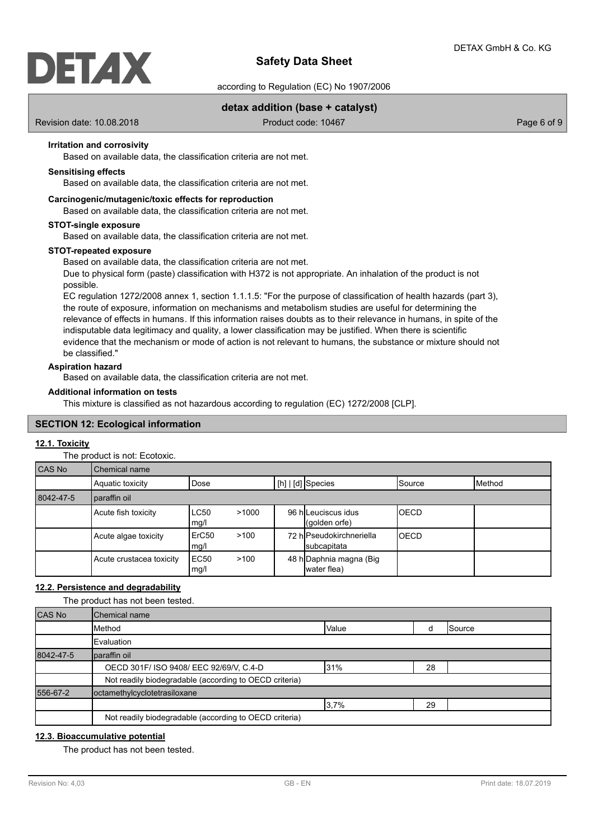according to Regulation (EC) No 1907/2006

## **detax addition (base + catalyst)**

Revision date: 10.08.2018 **Product code: 10467** Product code: 10467 **Page 6 of 9** Page 6 of 9

### **Irritation and corrosivity**

Based on available data, the classification criteria are not met.

## **Sensitising effects**

Based on available data, the classification criteria are not met.

### **Carcinogenic/mutagenic/toxic effects for reproduction**

Based on available data, the classification criteria are not met.

### **STOT-single exposure**

Based on available data, the classification criteria are not met.

#### **STOT-repeated exposure**

Based on available data, the classification criteria are not met.

Due to physical form (paste) classification with H372 is not appropriate. An inhalation of the product is not possible.

EC regulation 1272/2008 annex 1, section 1.1.1.5: "For the purpose of classification of health hazards (part 3), the route of exposure, information on mechanisms and metabolism studies are useful for determining the relevance of effects in humans. If this information raises doubts as to their relevance in humans, in spite of the indisputable data legitimacy and quality, a lower classification may be justified. When there is scientific evidence that the mechanism or mode of action is not relevant to humans, the substance or mixture should not be classified."

### **Aspiration hazard**

Based on available data, the classification criteria are not met.

### **Additional information on tests**

This mixture is classified as not hazardous according to regulation (EC) 1272/2008 [CLP].

### **SECTION 12: Ecological information**

## **12.1. Toxicity**

The product is not: Ecotoxic.

| <b>CAS No</b> | Chemical name            |                           |       |                                         |         |                 |
|---------------|--------------------------|---------------------------|-------|-----------------------------------------|---------|-----------------|
|               | Aquatic toxicity         | Dose                      |       | $[h]   [d]$ Species                     | ISource | <b>I</b> Method |
| 8042-47-5     | paraffin oil             |                           |       |                                         |         |                 |
|               | Acute fish toxicity      | LC50<br>mg/l              | >1000 | 96 h Leuciscus idus<br>(qolden orfe)    | IOECD   |                 |
|               | Acute algae toxicity     | ErC <sub>50</sub><br>mg/l | >100  | 72 hlPseudokirchneriella<br>subcapitata | IOECD   |                 |
|               | Acute crustacea toxicity | EC50<br>mg/l              | >100  | 48 h Daphnia magna (Big<br>water flea)  |         |                 |

### **12.2. Persistence and degradability**

The product has not been tested.

| <b>CAS No</b> | Chemical name                                          |      |    |  |
|---------------|--------------------------------------------------------|------|----|--|
|               | Value<br>Method<br><b>I</b> Source                     |      |    |  |
|               | Evaluation                                             |      |    |  |
| 8042-47-5     | paraffin oil                                           |      |    |  |
|               | OECD 301F/ ISO 9408/ EEC 92/69/V, C.4-D                | 31%  | 28 |  |
|               | Not readily biodegradable (according to OECD criteria) |      |    |  |
| 556-67-2      | octamethylcyclotetrasiloxane                           |      |    |  |
|               |                                                        | 3,7% | 29 |  |
|               | Not readily biodegradable (according to OECD criteria) |      |    |  |

## **12.3. Bioaccumulative potential**

The product has not been tested.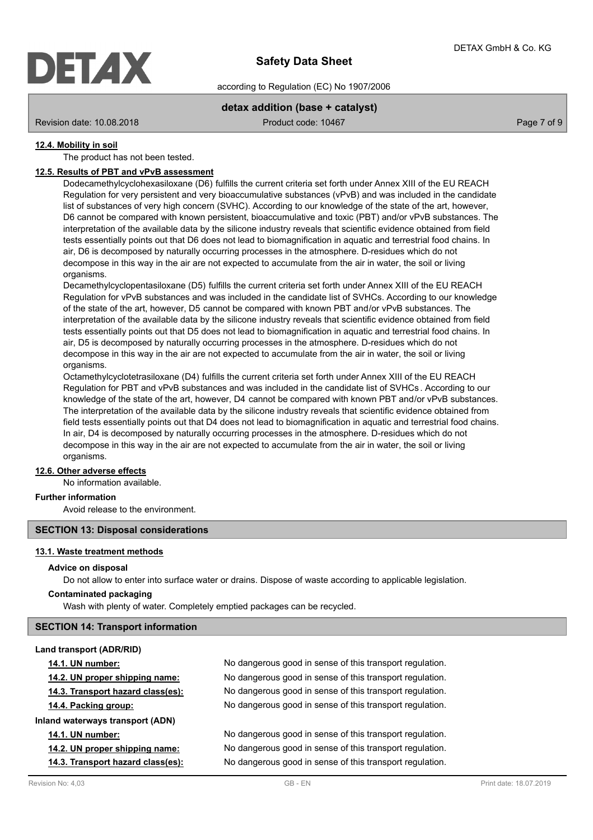

according to Regulation (EC) No 1907/2006

## **detax addition (base + catalyst)**

Revision date: 10.08.2018 Product code: 10467 Product code: 10467 Page 7 of 9

## **12.4. Mobility in soil**

The product has not been tested.

## **12.5. Results of PBT and vPvB assessment**

Dodecamethylcyclohexasiloxane (D6) fulfills the current criteria set forth under Annex XIII of the EU REACH Regulation for very persistent and very bioaccumulative substances (vPvB) and was included in the candidate list of substances of very high concern (SVHC). According to our knowledge of the state of the art, however, D6 cannot be compared with known persistent, bioaccumulative and toxic (PBT) and/or vPvB substances. The interpretation of the available data by the silicone industry reveals that scientific evidence obtained from field tests essentially points out that D6 does not lead to biomagnification in aquatic and terrestrial food chains. In air, D6 is decomposed by naturally occurring processes in the atmosphere. D-residues which do not decompose in this way in the air are not expected to accumulate from the air in water, the soil or living organisms.

Decamethylcyclopentasiloxane (D5) fulfills the current criteria set forth under Annex XIII of the EU REACH Regulation for vPvB substances and was included in the candidate list of SVHCs. According to our knowledge of the state of the art, however, D5 cannot be compared with known PBT and/or vPvB substances. The interpretation of the available data by the silicone industry reveals that scientific evidence obtained from field tests essentially points out that D5 does not lead to biomagnification in aquatic and terrestrial food chains. In air, D5 is decomposed by naturally occurring processes in the atmosphere. D-residues which do not decompose in this way in the air are not expected to accumulate from the air in water, the soil or living organisms.

Octamethylcyclotetrasiloxane (D4) fulfills the current criteria set forth under Annex XIII of the EU REACH Regulation for PBT and vPvB substances and was included in the candidate list of SVHCs . According to our knowledge of the state of the art, however, D4 cannot be compared with known PBT and/or vPvB substances. The interpretation of the available data by the silicone industry reveals that scientific evidence obtained from field tests essentially points out that D4 does not lead to biomagnification in aquatic and terrestrial food chains. In air, D4 is decomposed by naturally occurring processes in the atmosphere. D-residues which do not decompose in this way in the air are not expected to accumulate from the air in water, the soil or living organisms.

### **12.6. Other adverse effects**

No information available.

# **Further information**

Avoid release to the environment.

### **SECTION 13: Disposal considerations**

### **13.1. Waste treatment methods**

### **Advice on disposal**

Do not allow to enter into surface water or drains. Dispose of waste according to applicable legislation.

### **Contaminated packaging**

Wash with plenty of water. Completely emptied packages can be recycled.

### **SECTION 14: Transport information**

### **Land transport (ADR/RID)**

| 14.1. UN number:                  | No dangerous good in sense of this transport regulation. |
|-----------------------------------|----------------------------------------------------------|
| 14.2. UN proper shipping name:    | No dangerous good in sense of this transport regulation. |
| 14.3. Transport hazard class(es): | No dangerous good in sense of this transport regulation. |
| 14.4. Packing group:              | No dangerous good in sense of this transport regulation. |
| Inland waterways transport (ADN)  |                                                          |
| 14.1. UN number:                  | No dangerous good in sense of this transport regulation. |
| 14.2. UN proper shipping name:    | No dangerous good in sense of this transport regulation. |
| 14.3. Transport hazard class(es): | No dangerous good in sense of this transport regulation. |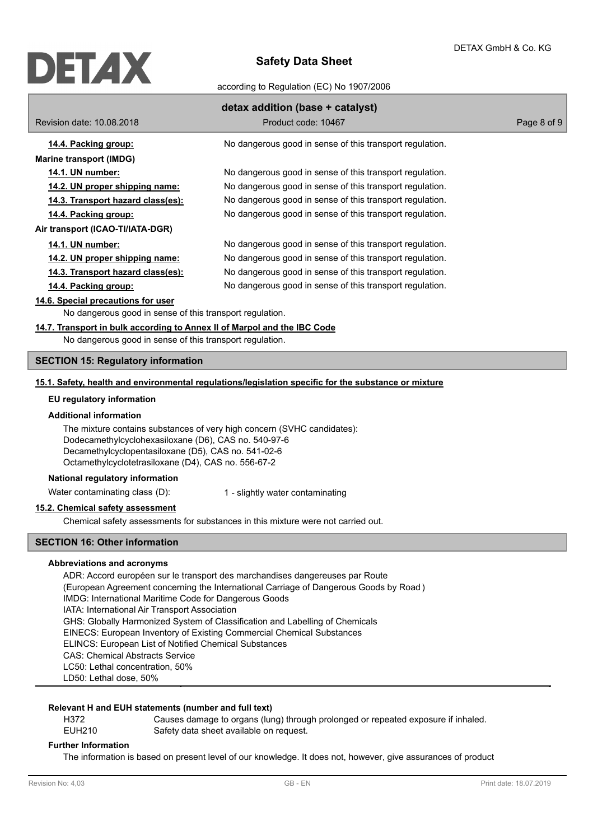

according to Regulation (EC) No 1907/2006

|                                                          | detax addition (base + catalyst)                         |             |
|----------------------------------------------------------|----------------------------------------------------------|-------------|
| Revision date: 10.08.2018                                | Product code: 10467                                      | Page 8 of 9 |
| 14.4. Packing group:                                     | No dangerous good in sense of this transport regulation. |             |
| <b>Marine transport (IMDG)</b>                           |                                                          |             |
| 14.1. UN number:                                         | No dangerous good in sense of this transport regulation. |             |
| 14.2. UN proper shipping name:                           | No dangerous good in sense of this transport regulation. |             |
| 14.3. Transport hazard class(es):                        | No dangerous good in sense of this transport regulation. |             |
| 14.4. Packing group:                                     | No dangerous good in sense of this transport regulation. |             |
| Air transport (ICAO-TI/IATA-DGR)                         |                                                          |             |
| <b>14.1. UN number:</b>                                  | No dangerous good in sense of this transport regulation. |             |
| 14.2. UN proper shipping name:                           | No dangerous good in sense of this transport regulation. |             |
| 14.3. Transport hazard class(es):                        | No dangerous good in sense of this transport regulation. |             |
| 14.4. Packing group:                                     | No dangerous good in sense of this transport regulation. |             |
| 14.6. Special precautions for user                       |                                                          |             |
| No dangerous good in sense of this transport regulation. |                                                          |             |

### **14.7. Transport in bulk according to Annex II of Marpol and the IBC Code**

No dangerous good in sense of this transport regulation.

## **SECTION 15: Regulatory information**

### **15.1. Safety, health and environmental regulations/legislation specific for the substance or mixture**

### **EU regulatory information**

## **Additional information**

The mixture contains substances of very high concern (SVHC candidates): Dodecamethylcyclohexasiloxane (D6), CAS no. 540-97-6 Decamethylcyclopentasiloxane (D5), CAS no. 541-02-6 Octamethylcyclotetrasiloxane (D4), CAS no. 556-67-2

### **National regulatory information**

Water contaminating class (D): 1 - slightly water contaminating

# **15.2. Chemical safety assessment**

Chemical safety assessments for substances in this mixture were not carried out.

# **SECTION 16: Other information**

## **Abbreviations and acronyms**

ADR: Accord européen sur le transport des marchandises dangereuses par Route (European Agreement concerning the International Carriage of Dangerous Goods by Road ) IMDG: International Maritime Code for Dangerous Goods IATA: International Air Transport Association GHS: Globally Harmonized System of Classification and Labelling of Chemicals EINECS: European Inventory of Existing Commercial Chemical Substances ELINCS: European List of Notified Chemical Substances CAS: Chemical Abstracts Service LC50: Lethal concentration, 50% LD50: Lethal dose, 50%

## **Relevant H and EUH statements (number and full text)**

| H372   | Causes damage to organs (lung) through prolonged or repeated exposure if inhaled. |
|--------|-----------------------------------------------------------------------------------|
| EUH210 | Safety data sheet available on request.                                           |

### **Further Information**

The information is based on present level of our knowledge. It does not, however, give assurances of product